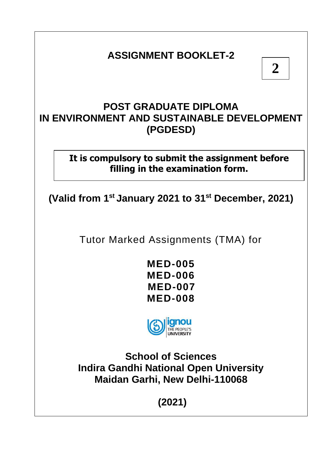# **ASSIGNMENT BOOKLET-2**

# **POST GRADUATE DIPLOMA IN ENVIRONMENT AND SUSTAINABLE DEVELOPMENT (PGDESD)**

# **It is compulsory to submit the assignment before filling in the examination form.**

**(Valid from 1st January 2021 to 31st December, 2021)**

Tutor Marked Assignments (TMA) for

**MED-005 MED-006 MED-007 MED-008**



**School of Sciences Indira Gandhi National Open University Maidan Garhi, New Delhi-110068**

**(2021)**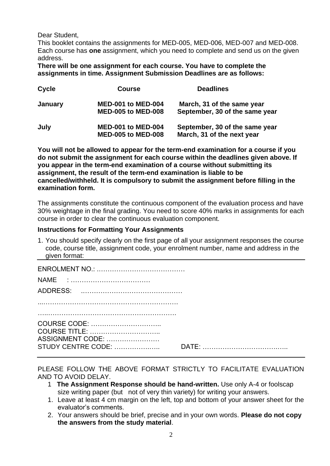Dear Student,

This booklet contains the assignments for MED-005, MED-006, MED-007 and MED-008. Each course has **one** assignment, which you need to complete and send us on the given address.

**There will be one assignment for each course. You have to complete the assignments in time. Assignment Submission Deadlines are as follows:**

| Cycle          | <b>Course</b>                                          | <b>Deadlines</b>                                             |
|----------------|--------------------------------------------------------|--------------------------------------------------------------|
| <b>January</b> | <b>MED-001 to MED-004</b><br><b>MED-005 to MED-008</b> | March, 31 of the same year<br>September, 30 of the same year |
| July           | <b>MED-001 to MED-004</b><br><b>MED-005 to MED-008</b> | September, 30 of the same year<br>March, 31 of the next year |

**You will not be allowed to appear for the term-end examination for a course if you do not submit the assignment for each course within the deadlines given above. If you appear in the term-end examination of a course without submitting its assignment, the result of the term-end examination is liable to be cancelled/withheld. It is compulsory to submit the assignment before filling in the examination form.**

The assignments constitute the continuous component of the evaluation process and have 30% weightage in the final grading. You need to score 40% marks in assignments for each course in order to clear the continuous evaluation component.

### **Instructions for Formatting Your Assignments**

1. You should specify clearly on the first page of all your assignment responses the course code, course title, assignment code, your enrolment number, name and address in the given format:

| COURSE CODE:       |  |
|--------------------|--|
| COURSE TITLE:      |  |
| ASSIGNMENT CODE:   |  |
| STUDY CENTRE CODE: |  |

PLEASE FOLLOW THE ABOVE FORMAT STRICTLY TO FACILITATE EVALUATION AND TO AVOID DELAY.

- 1 **The Assignment Response should be hand-written.** Use only A-4 or foolscap size writing paper (but not of very thin variety) for writing your answers.
- 1. Leave at least 4 cm margin on the left, top and bottom of your answer sheet for the evaluator's comments.
- 2. Your answers should be brief, precise and in your own words. **Please do not copy the answers from the study material**.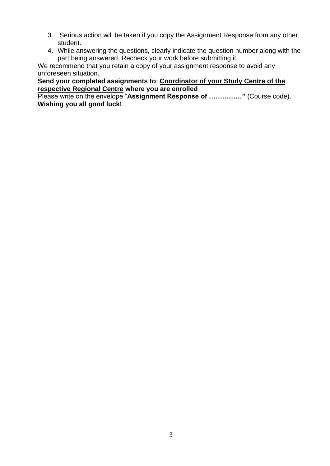- 3. Serious action will be taken if you copy the Assignment Response from any other student.
- 4. While answering the questions, clearly indicate the question number along with the part being answered. Recheck your work before submitting it.

We recommend that you retain a copy of your assignment response to avoid any unforeseen situation.

# **Send your completed assignments to**: **Coordinator of your Study Centre of the respective Regional Centre where you are enrolled**

Please write on the envelope "**Assignment Response of ……………"** (Course code). **Wishing you all good luck!**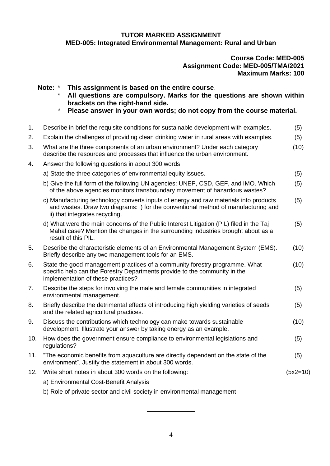### **TUTOR MARKED ASSIGNMENT MED-005: Integrated Environmental Management: Rural and Urban**

#### **Course Code: MED-005 Assignment Code: MED-005/TMA/2021 Maximum Marks: 100**

**Note:** \* **This assignment is based on the entire course**.

- \* **All questions are compulsory. Marks for the questions are shown within brackets on the right-hand side.**
- \* **Please answer in your own words; do not copy from the course material.**

| 1.  | Describe in brief the requisite conditions for sustainable development with examples.                                                                                                                         | (5)        |
|-----|---------------------------------------------------------------------------------------------------------------------------------------------------------------------------------------------------------------|------------|
| 2.  | Explain the challenges of providing clean drinking water in rural areas with examples.                                                                                                                        | (5)        |
| 3.  | What are the three components of an urban environment? Under each category<br>describe the resources and processes that influence the urban environment.                                                      | (10)       |
| 4.  | Answer the following questions in about 300 words                                                                                                                                                             |            |
|     | a) State the three categories of environmental equity issues.                                                                                                                                                 | (5)        |
|     | b) Give the full form of the following UN agencies: UNEP, CSD, GEF, and IMO. Which<br>of the above agencies monitors transboundary movement of hazardous wastes?                                              | (5)        |
|     | c) Manufacturing technology converts inputs of energy and raw materials into products<br>and wastes. Draw two diagrams: i) for the conventional method of manufacturing and<br>ii) that integrates recycling. | (5)        |
|     | d) What were the main concerns of the Public Interest Litigation (PIL) filed in the Taj<br>Mahal case? Mention the changes in the surrounding industries brought about as a<br>result of this PIL.            | (5)        |
| 5.  | Describe the characteristic elements of an Environmental Management System (EMS).<br>Briefly describe any two management tools for an EMS.                                                                    | (10)       |
| 6.  | State the good management practices of a community forestry programme. What<br>specific help can the Forestry Departments provide to the community in the<br>implementation of these practices?               | (10)       |
| 7.  | Describe the steps for involving the male and female communities in integrated<br>environmental management.                                                                                                   | (5)        |
| 8.  | Briefly describe the detrimental effects of introducing high yielding varieties of seeds<br>and the related agricultural practices.                                                                           | (5)        |
| 9.  | Discuss the contributions which technology can make towards sustainable<br>development. Illustrate your answer by taking energy as an example.                                                                | (10)       |
| 10. | How does the government ensure compliance to environmental legislations and<br>regulations?                                                                                                                   | (5)        |
| 11. | "The economic benefits from aquaculture are directly dependent on the state of the<br>environment". Justify the statement in about 300 words.                                                                 | (5)        |
| 12. | Write short notes in about 300 words on the following:                                                                                                                                                        | $(5x2=10)$ |
|     | a) Environmental Cost-Benefit Analysis                                                                                                                                                                        |            |
|     | b) Role of private sector and civil society in environmental management                                                                                                                                       |            |

\_\_\_\_\_\_\_\_\_\_\_\_\_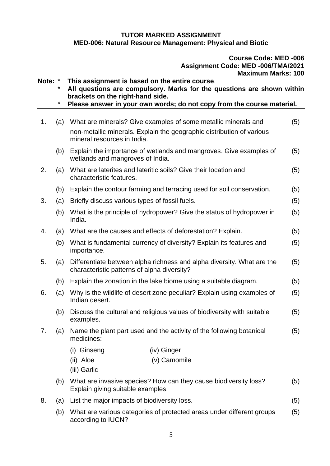#### **TUTOR MARKED ASSIGNMENT MED-006: Natural Resource Management: Physical and Biotic**

#### **Course Code: MED -006 Assignment Code: MED -006/TMA/2021 Maximum Marks: 100**

**Note:** \* **This assignment is based on the entire course**. \* **All questions are compulsory. Marks for the questions are shown within brackets on the right-hand side.** \* **Please answer in your own words; do not copy from the course material.** 1. (a) What are minerals? Give examples of some metallic minerals and non-metallic minerals. Explain the geographic distribution of various mineral resources in India. (5) (b) Explain the importance of wetlands and mangroves. Give examples of wetlands and mangroves of India. (5) 2. (a) What are laterites and lateritic soils? Give their location and characteristic features. (5) (b) Explain the contour farming and terracing used for soil conservation. (5) 3. (a) Briefly discuss various types of fossil fuels. (5) (b) What is the principle of hydropower? Give the status of hydropower in India. (5) 4. (a) What are the causes and effects of deforestation? Explain. (5) (b) What is fundamental currency of diversity? Explain its features and importance. (5) 5. (a) Differentiate between alpha richness and alpha diversity. What are the characteristic patterns of alpha diversity? (5) (b) Explain the zonation in the lake biome using a suitable diagram. (5) 6. (a) Why is the wildlife of desert zone peculiar? Explain using examples of Indian desert. (5) (b) Discuss the cultural and religious values of biodiversity with suitable examples. (5) 7. (a) Name the plant part used and the activity of the following botanical medicines: (5) (i) Ginseng (iv) Ginger (ii) Aloe (v) Camomile (iii) Garlic (b) What are invasive species? How can they cause biodiversity loss? Explain giving suitable examples. (5) 8. (a) List the major impacts of biodiversity loss. (5) (b) What are various categories of protected areas under different groups according to IUCN? (5)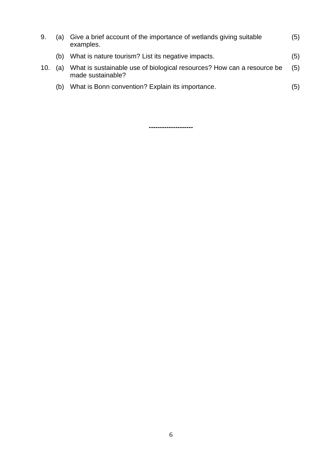| 9.  |     | (a) Give a brief account of the importance of wetlands giving suitable<br>examples.         | (5) |
|-----|-----|---------------------------------------------------------------------------------------------|-----|
|     | (b) | What is nature tourism? List its negative impacts.                                          | (5) |
| 10. | (a) | What is sustainable use of biological resources? How can a resource be<br>made sustainable? | (5) |
|     | (b) | What is Bonn convention? Explain its importance.                                            | (5) |

**--------------------**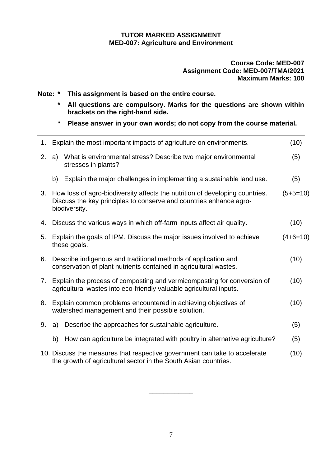### **TUTOR MARKED ASSIGNMENT MED-007: Agriculture and Environment**

## **Course Code: MED-007 Assignment Code: MED-007/TMA/2021 Maximum Marks: 100**

**Note: \* This assignment is based on the entire course.** 

- **\* All questions are compulsory. Marks for the questions are shown within brackets on the right-hand side.**
- **\* Please answer in your own words; do not copy from the course material.**

| 1. |                                                                                                                                                | Explain the most important impacts of agriculture on environments.                                                                                                     | (10)       |
|----|------------------------------------------------------------------------------------------------------------------------------------------------|------------------------------------------------------------------------------------------------------------------------------------------------------------------------|------------|
| 2. | a)                                                                                                                                             | What is environmental stress? Describe two major environmental<br>stresses in plants?                                                                                  | (5)        |
|    | b)                                                                                                                                             | Explain the major challenges in implementing a sustainable land use.                                                                                                   | (5)        |
|    |                                                                                                                                                | 3. How loss of agro-biodiversity affects the nutrition of developing countries.<br>Discuss the key principles to conserve and countries enhance agro-<br>biodiversity. | $(5+5=10)$ |
| 4. |                                                                                                                                                | Discuss the various ways in which off-farm inputs affect air quality.                                                                                                  | (10)       |
| 5. |                                                                                                                                                | Explain the goals of IPM. Discuss the major issues involved to achieve<br>these goals.                                                                                 | $(4+6=10)$ |
| 6. |                                                                                                                                                | Describe indigenous and traditional methods of application and<br>conservation of plant nutrients contained in agricultural wastes.                                    | (10)       |
| 7. | Explain the process of composting and vermicomposting for conversion of<br>agricultural wastes into eco-friendly valuable agricultural inputs. |                                                                                                                                                                        | (10)       |
| 8. |                                                                                                                                                | Explain common problems encountered in achieving objectives of<br>watershed management and their possible solution.                                                    | (10)       |
| 9. | a)                                                                                                                                             | Describe the approaches for sustainable agriculture.                                                                                                                   | (5)        |
|    | b)                                                                                                                                             | How can agriculture be integrated with poultry in alternative agriculture?                                                                                             | (5)        |
|    |                                                                                                                                                | 10. Discuss the measures that respective government can take to accelerate<br>the growth of agricultural sector in the South Asian countries.                          | (10)       |

\_\_\_\_\_\_\_\_\_\_\_\_